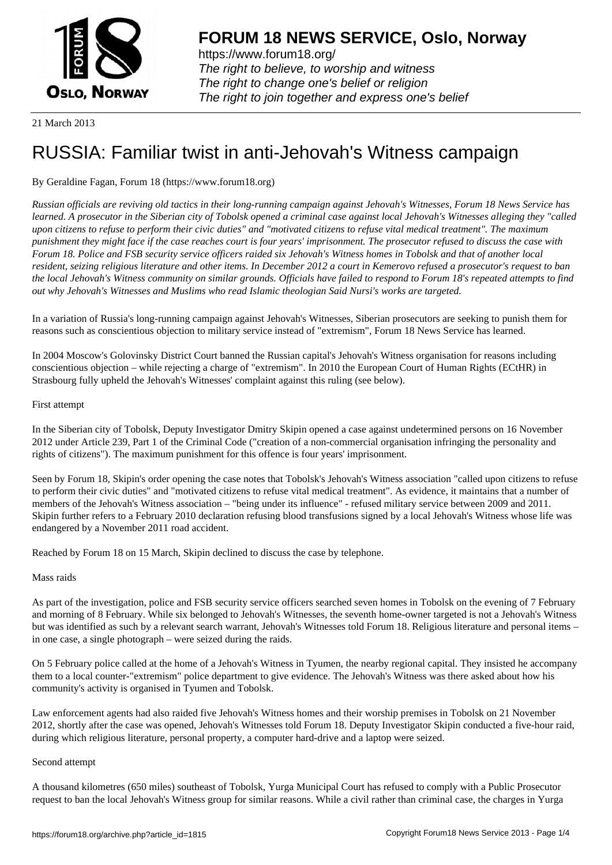

https://www.forum18.org/ The right to believe, to worship and witness The right to change one's belief or religion [The right to join together a](https://www.forum18.org/)nd express one's belief

21 March 2013

# [RUSSIA: Famili](https://www.forum18.org)ar twist in anti-Jehovah's Witness campaign

# By Geraldine Fagan, Forum 18 (https://www.forum18.org)

*Russian officials are reviving old tactics in their long-running campaign against Jehovah's Witnesses, Forum 18 News Service has learned. A prosecutor in the Siberian city of Tobolsk opened a criminal case against local Jehovah's Witnesses alleging they "called upon citizens to refuse to perform their civic duties" and "motivated citizens to refuse vital medical treatment". The maximum punishment they might face if the case reaches court is four years' imprisonment. The prosecutor refused to discuss the case with Forum 18. Police and FSB security service officers raided six Jehovah's Witness homes in Tobolsk and that of another local resident, seizing religious literature and other items. In December 2012 a court in Kemerovo refused a prosecutor's request to ban the local Jehovah's Witness community on similar grounds. Officials have failed to respond to Forum 18's repeated attempts to find out why Jehovah's Witnesses and Muslims who read Islamic theologian Said Nursi's works are targeted.*

In a variation of Russia's long-running campaign against Jehovah's Witnesses, Siberian prosecutors are seeking to punish them for reasons such as conscientious objection to military service instead of "extremism", Forum 18 News Service has learned.

In 2004 Moscow's Golovinsky District Court banned the Russian capital's Jehovah's Witness organisation for reasons including conscientious objection – while rejecting a charge of "extremism". In 2010 the European Court of Human Rights (ECtHR) in Strasbourg fully upheld the Jehovah's Witnesses' complaint against this ruling (see below).

# First attempt

In the Siberian city of Tobolsk, Deputy Investigator Dmitry Skipin opened a case against undetermined persons on 16 November 2012 under Article 239, Part 1 of the Criminal Code ("creation of a non-commercial organisation infringing the personality and rights of citizens"). The maximum punishment for this offence is four years' imprisonment.

Seen by Forum 18, Skipin's order opening the case notes that Tobolsk's Jehovah's Witness association "called upon citizens to refuse to perform their civic duties" and "motivated citizens to refuse vital medical treatment". As evidence, it maintains that a number of members of the Jehovah's Witness association – "being under its influence" - refused military service between 2009 and 2011. Skipin further refers to a February 2010 declaration refusing blood transfusions signed by a local Jehovah's Witness whose life was endangered by a November 2011 road accident.

Reached by Forum 18 on 15 March, Skipin declined to discuss the case by telephone.

# Mass raids

As part of the investigation, police and FSB security service officers searched seven homes in Tobolsk on the evening of 7 February and morning of 8 February. While six belonged to Jehovah's Witnesses, the seventh home-owner targeted is not a Jehovah's Witness but was identified as such by a relevant search warrant, Jehovah's Witnesses told Forum 18. Religious literature and personal items – in one case, a single photograph – were seized during the raids.

On 5 February police called at the home of a Jehovah's Witness in Tyumen, the nearby regional capital. They insisted he accompany them to a local counter-"extremism" police department to give evidence. The Jehovah's Witness was there asked about how his community's activity is organised in Tyumen and Tobolsk.

Law enforcement agents had also raided five Jehovah's Witness homes and their worship premises in Tobolsk on 21 November 2012, shortly after the case was opened, Jehovah's Witnesses told Forum 18. Deputy Investigator Skipin conducted a five-hour raid, during which religious literature, personal property, a computer hard-drive and a laptop were seized.

# Second attempt

A thousand kilometres (650 miles) southeast of Tobolsk, Yurga Municipal Court has refused to comply with a Public Prosecutor request to ban the local Jehovah's Witness group for similar reasons. While a civil rather than criminal case, the charges in Yurga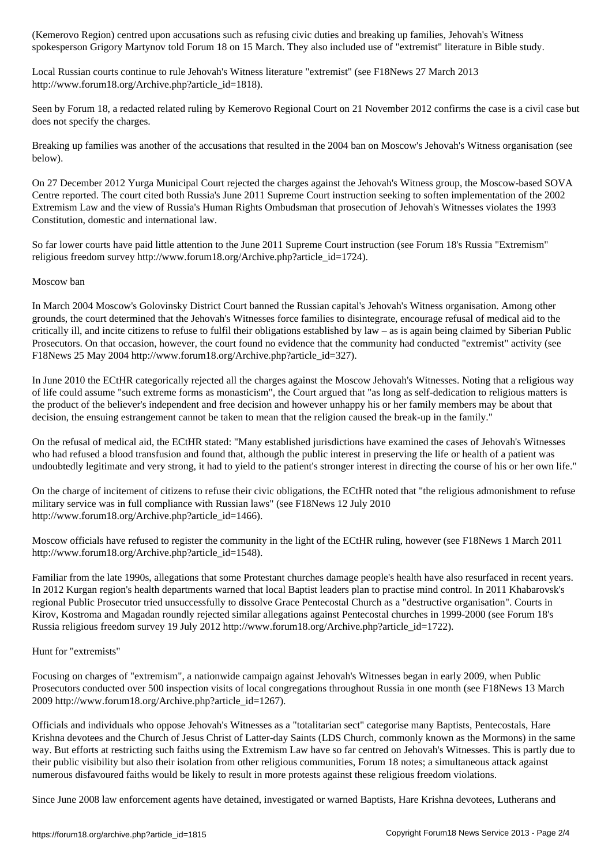spokesperson Grigory Martynov told Forum 18 on 15 March. They also included use of "extremist" literature in Bible study.

Local Russian courts continue to rule Jehovah's Witness literature "extremist" (see F18News 27 March 2013 http://www.forum18.org/Archive.php?article\_id=1818).

Seen by Forum 18, a redacted related ruling by Kemerovo Regional Court on 21 November 2012 confirms the case is a civil case but does not specify the charges.

Breaking up families was another of the accusations that resulted in the 2004 ban on Moscow's Jehovah's Witness organisation (see below).

On 27 December 2012 Yurga Municipal Court rejected the charges against the Jehovah's Witness group, the Moscow-based SOVA Centre reported. The court cited both Russia's June 2011 Supreme Court instruction seeking to soften implementation of the 2002 Extremism Law and the view of Russia's Human Rights Ombudsman that prosecution of Jehovah's Witnesses violates the 1993 Constitution, domestic and international law.

So far lower courts have paid little attention to the June 2011 Supreme Court instruction (see Forum 18's Russia "Extremism" religious freedom survey http://www.forum18.org/Archive.php?article\_id=1724).

#### Moscow ban

In March 2004 Moscow's Golovinsky District Court banned the Russian capital's Jehovah's Witness organisation. Among other grounds, the court determined that the Jehovah's Witnesses force families to disintegrate, encourage refusal of medical aid to the critically ill, and incite citizens to refuse to fulfil their obligations established by law – as is again being claimed by Siberian Public Prosecutors. On that occasion, however, the court found no evidence that the community had conducted "extremist" activity (see F18News 25 May 2004 http://www.forum18.org/Archive.php?article\_id=327).

In June 2010 the ECtHR categorically rejected all the charges against the Moscow Jehovah's Witnesses. Noting that a religious way of life could assume "such extreme forms as monasticism", the Court argued that "as long as self-dedication to religious matters is the product of the believer's independent and free decision and however unhappy his or her family members may be about that decision, the ensuing estrangement cannot be taken to mean that the religion caused the break-up in the family."

On the refusal of medical aid, the ECtHR stated: "Many established jurisdictions have examined the cases of Jehovah's Witnesses who had refused a blood transfusion and found that, although the public interest in preserving the life or health of a patient was undoubtedly legitimate and very strong, it had to yield to the patient's stronger interest in directing the course of his or her own life."

On the charge of incitement of citizens to refuse their civic obligations, the ECtHR noted that "the religious admonishment to refuse military service was in full compliance with Russian laws" (see F18News 12 July 2010 http://www.forum18.org/Archive.php?article\_id=1466).

Moscow officials have refused to register the community in the light of the ECtHR ruling, however (see F18News 1 March 2011 http://www.forum18.org/Archive.php?article\_id=1548).

Familiar from the late 1990s, allegations that some Protestant churches damage people's health have also resurfaced in recent years. In 2012 Kurgan region's health departments warned that local Baptist leaders plan to practise mind control. In 2011 Khabarovsk's regional Public Prosecutor tried unsuccessfully to dissolve Grace Pentecostal Church as a "destructive organisation". Courts in Kirov, Kostroma and Magadan roundly rejected similar allegations against Pentecostal churches in 1999-2000 (see Forum 18's Russia religious freedom survey 19 July 2012 http://www.forum18.org/Archive.php?article\_id=1722).

Hunt for "extremists"

Focusing on charges of "extremism", a nationwide campaign against Jehovah's Witnesses began in early 2009, when Public Prosecutors conducted over 500 inspection visits of local congregations throughout Russia in one month (see F18News 13 March 2009 http://www.forum18.org/Archive.php?article\_id=1267).

Officials and individuals who oppose Jehovah's Witnesses as a "totalitarian sect" categorise many Baptists, Pentecostals, Hare Krishna devotees and the Church of Jesus Christ of Latter-day Saints (LDS Church, commonly known as the Mormons) in the same way. But efforts at restricting such faiths using the Extremism Law have so far centred on Jehovah's Witnesses. This is partly due to their public visibility but also their isolation from other religious communities, Forum 18 notes; a simultaneous attack against numerous disfavoured faiths would be likely to result in more protests against these religious freedom violations.

Since June 2008 law enforcement agents have detained, investigated or warned Baptists, Hare Krishna devotees, Lutherans and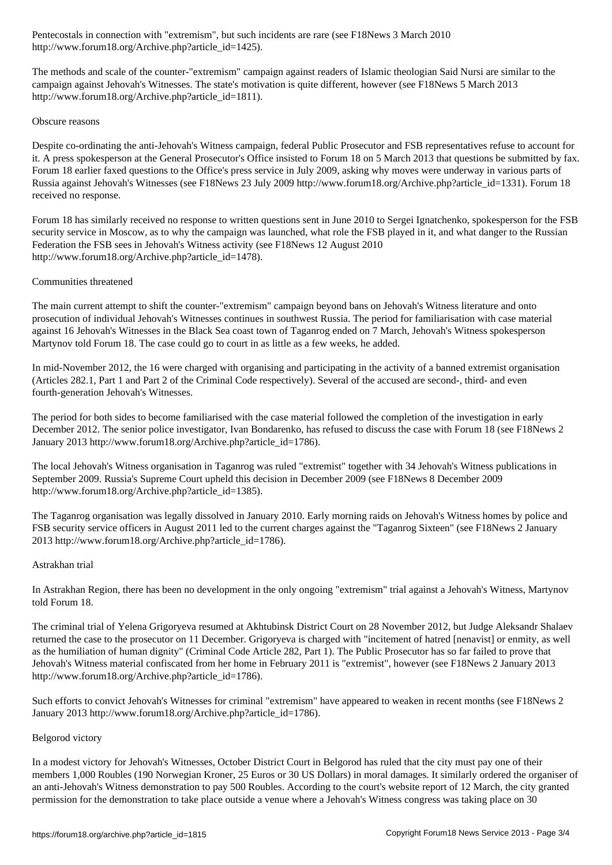http://www.forum18.org/Archive.php?article\_id=1425).

The methods and scale of the counter-"extremism" campaign against readers of Islamic theologian Said Nursi are similar to the campaign against Jehovah's Witnesses. The state's motivation is quite different, however (see F18News 5 March 2013 http://www.forum18.org/Archive.php?article\_id=1811).

# Obscure reasons

Despite co-ordinating the anti-Jehovah's Witness campaign, federal Public Prosecutor and FSB representatives refuse to account for it. A press spokesperson at the General Prosecutor's Office insisted to Forum 18 on 5 March 2013 that questions be submitted by fax. Forum 18 earlier faxed questions to the Office's press service in July 2009, asking why moves were underway in various parts of Russia against Jehovah's Witnesses (see F18News 23 July 2009 http://www.forum18.org/Archive.php?article\_id=1331). Forum 18 received no response.

Forum 18 has similarly received no response to written questions sent in June 2010 to Sergei Ignatchenko, spokesperson for the FSB security service in Moscow, as to why the campaign was launched, what role the FSB played in it, and what danger to the Russian Federation the FSB sees in Jehovah's Witness activity (see F18News 12 August 2010 http://www.forum18.org/Archive.php?article\_id=1478).

# Communities threatened

The main current attempt to shift the counter-"extremism" campaign beyond bans on Jehovah's Witness literature and onto prosecution of individual Jehovah's Witnesses continues in southwest Russia. The period for familiarisation with case material against 16 Jehovah's Witnesses in the Black Sea coast town of Taganrog ended on 7 March, Jehovah's Witness spokesperson Martynov told Forum 18. The case could go to court in as little as a few weeks, he added.

In mid-November 2012, the 16 were charged with organising and participating in the activity of a banned extremist organisation (Articles 282.1, Part 1 and Part 2 of the Criminal Code respectively). Several of the accused are second-, third- and even fourth-generation Jehovah's Witnesses.

The period for both sides to become familiarised with the case material followed the completion of the investigation in early December 2012. The senior police investigator, Ivan Bondarenko, has refused to discuss the case with Forum 18 (see F18News 2 January 2013 http://www.forum18.org/Archive.php?article\_id=1786).

The local Jehovah's Witness organisation in Taganrog was ruled "extremist" together with 34 Jehovah's Witness publications in September 2009. Russia's Supreme Court upheld this decision in December 2009 (see F18News 8 December 2009 http://www.forum18.org/Archive.php?article\_id=1385).

The Taganrog organisation was legally dissolved in January 2010. Early morning raids on Jehovah's Witness homes by police and FSB security service officers in August 2011 led to the current charges against the "Taganrog Sixteen" (see F18News 2 January 2013 http://www.forum18.org/Archive.php?article\_id=1786).

#### Astrakhan trial

In Astrakhan Region, there has been no development in the only ongoing "extremism" trial against a Jehovah's Witness, Martynov told Forum 18.

The criminal trial of Yelena Grigoryeva resumed at Akhtubinsk District Court on 28 November 2012, but Judge Aleksandr Shalaev returned the case to the prosecutor on 11 December. Grigoryeva is charged with "incitement of hatred [nenavist] or enmity, as well as the humiliation of human dignity" (Criminal Code Article 282, Part 1). The Public Prosecutor has so far failed to prove that Jehovah's Witness material confiscated from her home in February 2011 is "extremist", however (see F18News 2 January 2013 http://www.forum18.org/Archive.php?article\_id=1786).

Such efforts to convict Jehovah's Witnesses for criminal "extremism" have appeared to weaken in recent months (see F18News 2 January 2013 http://www.forum18.org/Archive.php?article\_id=1786).

# Belgorod victory

In a modest victory for Jehovah's Witnesses, October District Court in Belgorod has ruled that the city must pay one of their members 1,000 Roubles (190 Norwegian Kroner, 25 Euros or 30 US Dollars) in moral damages. It similarly ordered the organiser of an anti-Jehovah's Witness demonstration to pay 500 Roubles. According to the court's website report of 12 March, the city granted permission for the demonstration to take place outside a venue where a Jehovah's Witness congress was taking place on 30